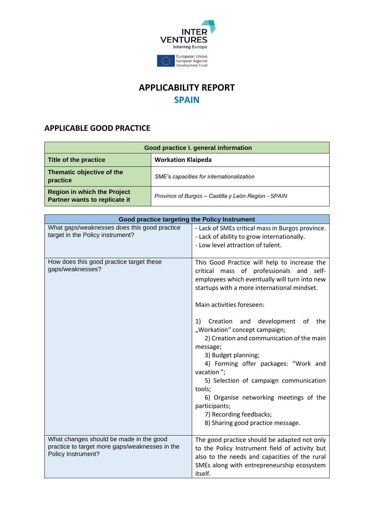

## **APPLICABILITY REPORT SPAIN**

## **APPLICABLE GOOD PRACTICE**

| Good practice I. general information                                |                                                     |  |
|---------------------------------------------------------------------|-----------------------------------------------------|--|
| Title of the practice                                               | <b>Workation Klaipeda</b>                           |  |
| Thematic objective of the<br>practice                               | SME's capacities for internationalization           |  |
| <b>Region in which the Project</b><br>Partner wants to replicate it | Province of Burgos – Castilla y León Region - SPAIN |  |

| Good practice targeting the Policy Instrument                                                                   |                                                                                                                                                                                                                                                                                                                                                                                                                                                                                                                                                                                                                         |
|-----------------------------------------------------------------------------------------------------------------|-------------------------------------------------------------------------------------------------------------------------------------------------------------------------------------------------------------------------------------------------------------------------------------------------------------------------------------------------------------------------------------------------------------------------------------------------------------------------------------------------------------------------------------------------------------------------------------------------------------------------|
| What gaps/weaknesses does this good practice<br>target in the Policy instrument?                                | - Lack of SMEs critical mass in Burgos province.<br>- Lack of ability to grow internationally.<br>- Low level attraction of talent.                                                                                                                                                                                                                                                                                                                                                                                                                                                                                     |
| How does this good practice target these<br>gaps/weaknesses?                                                    | This Good Practice will help to increase the<br>critical mass of professionals and self-<br>employees which eventually will turn into new<br>startups with a more international mindset.<br>Main activities foreseen:<br>1) Creation and development<br>of<br>the<br>"Workation" concept campaign;<br>2) Creation and communication of the main<br>message;<br>3) Budget planning;<br>4) Forming offer packages: "Work and<br>vacation";<br>5) Selection of campaign communication<br>tools;<br>6) Organise networking meetings of the<br>participants;<br>7) Recording feedbacks;<br>8) Sharing good practice message. |
| What changes should be made in the good<br>practice to target more gaps/weaknesses in the<br>Policy Instrument? | The good practice should be adapted not only<br>to the Policy Instrument field of activity but<br>also to the needs and capacities of the rural<br>SMEs along with entrepreneurship ecosystem<br>itself.                                                                                                                                                                                                                                                                                                                                                                                                                |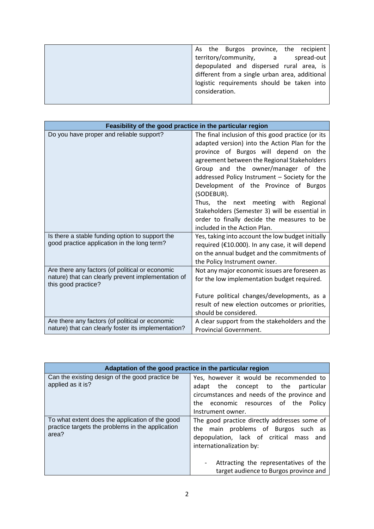| As the Burgos province, the recipient          |
|------------------------------------------------|
| territory/community, a<br>spread-out           |
| depopulated and dispersed rural area, is       |
| different from a single urban area, additional |
| logistic requirements should be taken into     |
| consideration.                                 |
|                                                |

| Feasibility of the good practice in the particular region                 |                                                   |
|---------------------------------------------------------------------------|---------------------------------------------------|
| Do you have proper and reliable support?                                  | The final inclusion of this good practice (or its |
|                                                                           | adapted version) into the Action Plan for the     |
|                                                                           | province of Burgos will depend on the             |
|                                                                           | agreement between the Regional Stakeholders       |
|                                                                           | Group and the owner/manager of the                |
|                                                                           | addressed Policy Instrument - Society for the     |
|                                                                           | Development of the Province of Burgos             |
|                                                                           | (SODEBUR).                                        |
|                                                                           | Thus, the next meeting with Regional              |
|                                                                           | Stakeholders (Semester 3) will be essential in    |
|                                                                           | order to finally decide the measures to be        |
|                                                                           | included in the Action Plan.                      |
| Is there a stable funding option to support the                           | Yes, taking into account the low budget initially |
| good practice application in the long term?                               | required (€10.000). In any case, it will depend   |
|                                                                           | on the annual budget and the commitments of       |
|                                                                           | the Policy Instrument owner.                      |
| Are there any factors (of political or economic                           | Not any major economic issues are foreseen as     |
| nature) that can clearly prevent implementation of<br>this good practice? | for the low implementation budget required.       |
|                                                                           | Future political changes/developments, as a       |
|                                                                           | result of new election outcomes or priorities,    |
|                                                                           | should be considered.                             |
| Are there any factors (of political or economic                           | A clear support from the stakeholders and the     |
| nature) that can clearly foster its implementation?                       | <b>Provincial Government.</b>                     |

| Adaptation of the good practice in the particular region                                                     |                                                                                                                                                                                                                                               |
|--------------------------------------------------------------------------------------------------------------|-----------------------------------------------------------------------------------------------------------------------------------------------------------------------------------------------------------------------------------------------|
| Can the existing design of the good practice be<br>applied as it is?                                         | Yes, however it would be recommended to<br>adapt the concept to the particular<br>circumstances and needs of the province and<br>the economic resources of the<br>Policy<br>Instrument owner.                                                 |
| To what extent does the application of the good<br>practice targets the problems in the application<br>area? | The good practice directly addresses some of<br>the main problems of Burgos such as<br>depopulation, lack of critical mass and<br>internationalization by:<br>Attracting the representatives of the<br>target audience to Burgos province and |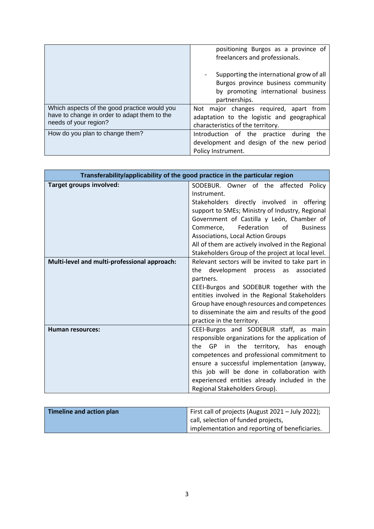|                                                                                                                       | positioning Burgos as a province of<br>freelancers and professionals.                                                                  |
|-----------------------------------------------------------------------------------------------------------------------|----------------------------------------------------------------------------------------------------------------------------------------|
|                                                                                                                       | Supporting the international grow of all<br>Burgos province business community<br>by promoting international business<br>partnerships. |
| Which aspects of the good practice would you<br>have to change in order to adapt them to the<br>needs of your region? | Not major changes required, apart from<br>adaptation to the logistic and geographical<br>characteristics of the territory.             |
| How do you plan to change them?                                                                                       | Introduction of the practice during<br>the<br>development and design of the new period<br>Policy Instrument.                           |

| Transferability/applicability of the good practice in the particular region |                                                   |
|-----------------------------------------------------------------------------|---------------------------------------------------|
| Target groups involved:                                                     | SODEBUR. Owner of the affected<br>Policy          |
|                                                                             | Instrument.                                       |
|                                                                             | Stakeholders directly involved in offering        |
|                                                                             | support to SMEs; Ministry of Industry, Regional   |
|                                                                             | Government of Castilla y León, Chamber of         |
|                                                                             | Federation<br>Ωf<br><b>Business</b><br>Commerce,  |
|                                                                             | Associations, Local Action Groups                 |
|                                                                             | All of them are actively involved in the Regional |
|                                                                             | Stakeholders Group of the project at local level. |
| Multi-level and multi-professional approach:                                | Relevant sectors will be invited to take part in  |
|                                                                             | development process<br>associated<br>as<br>the    |
|                                                                             | partners.                                         |
|                                                                             | CEEI-Burgos and SODEBUR together with the         |
|                                                                             | entities involved in the Regional Stakeholders    |
|                                                                             | Group have enough resources and competences       |
|                                                                             | to disseminate the aim and results of the good    |
|                                                                             | practice in the territory.                        |
| <b>Human resources:</b>                                                     | CEEI-Burgos and SODEBUR staff, as main            |
|                                                                             | responsible organizations for the application of  |
|                                                                             | GP in the territory, has enough<br>the            |
|                                                                             | competences and professional commitment to        |
|                                                                             | ensure a successful implementation (anyway,       |
|                                                                             | this job will be done in collaboration with       |
|                                                                             | experienced entities already included in the      |
|                                                                             | Regional Stakeholders Group).                     |

| Timeline and action plan | First call of projects (August 2021 - July 2022); |
|--------------------------|---------------------------------------------------|
|                          | call, selection of funded projects,               |
|                          | implementation and reporting of beneficiaries.    |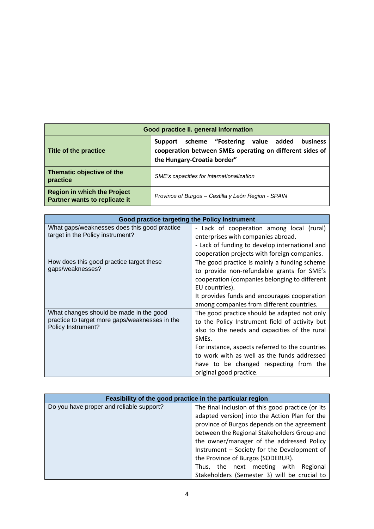| Good practice II. general information                               |                                                                                                                                                 |  |
|---------------------------------------------------------------------|-------------------------------------------------------------------------------------------------------------------------------------------------|--|
| Title of the practice                                               | scheme "Fostering value added<br>business<br>Support<br>cooperation between SMEs operating on different sides of<br>the Hungary-Croatia border" |  |
| Thematic objective of the<br>practice                               | SME's capacities for internationalization                                                                                                       |  |
| <b>Region in which the Project</b><br>Partner wants to replicate it | Province of Burgos - Castilla y León Region - SPAIN                                                                                             |  |

| Good practice targeting the Policy Instrument  |                                                 |
|------------------------------------------------|-------------------------------------------------|
| What gaps/weaknesses does this good practice   | - Lack of cooperation among local (rural)       |
| target in the Policy instrument?               | enterprises with companies abroad.              |
|                                                | - Lack of funding to develop international and  |
|                                                | cooperation projects with foreign companies.    |
| How does this good practice target these       | The good practice is mainly a funding scheme    |
| gaps/weaknesses?                               | to provide non-refundable grants for SME's      |
|                                                | cooperation (companies belonging to different   |
|                                                | EU countries).                                  |
|                                                | It provides funds and encourages cooperation    |
|                                                | among companies from different countries.       |
| What changes should be made in the good        | The good practice should be adapted not only    |
| practice to target more gaps/weaknesses in the | to the Policy Instrument field of activity but  |
| Policy Instrument?                             | also to the needs and capacities of the rural   |
|                                                | SME <sub>s</sub> .                              |
|                                                | For instance, aspects referred to the countries |
|                                                | to work with as well as the funds addressed     |
|                                                | have to be changed respecting from the          |
|                                                | original good practice.                         |

| Feasibility of the good practice in the particular region |                                                   |
|-----------------------------------------------------------|---------------------------------------------------|
| Do you have proper and reliable support?                  | The final inclusion of this good practice (or its |
|                                                           | adapted version) into the Action Plan for the     |
|                                                           | province of Burgos depends on the agreement       |
|                                                           | between the Regional Stakeholders Group and       |
|                                                           | the owner/manager of the addressed Policy         |
|                                                           | Instrument - Society for the Development of       |
|                                                           | the Province of Burgos (SODEBUR).                 |
|                                                           | Thus, the next meeting with Regional              |
|                                                           | Stakeholders (Semester 3) will be crucial to      |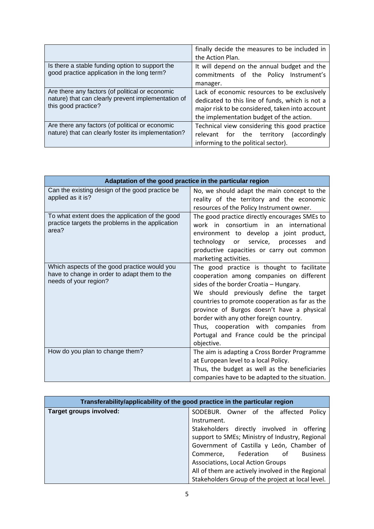|                                                                                                        | finally decide the measures to be included in   |
|--------------------------------------------------------------------------------------------------------|-------------------------------------------------|
|                                                                                                        | the Action Plan.                                |
| Is there a stable funding option to support the                                                        | It will depend on the annual budget and the     |
| good practice application in the long term?                                                            | commitments of the Policy Instrument's          |
|                                                                                                        | manager.                                        |
| Are there any factors (of political or economic<br>nature) that can clearly prevent implementation of  | Lack of economic resources to be exclusively    |
|                                                                                                        | dedicated to this line of funds, which is not a |
| this good practice?                                                                                    | major risk to be considered, taken into account |
|                                                                                                        | the implementation budget of the action.        |
| Are there any factors (of political or economic<br>nature) that can clearly foster its implementation? | Technical view considering this good practice   |
|                                                                                                        | relevant for the territory<br>(accordingly)     |
|                                                                                                        | informing to the political sector).             |

| Adaptation of the good practice in the particular region                                                              |                                                                                                                                                                                                                                                                                                                                                                                                                           |
|-----------------------------------------------------------------------------------------------------------------------|---------------------------------------------------------------------------------------------------------------------------------------------------------------------------------------------------------------------------------------------------------------------------------------------------------------------------------------------------------------------------------------------------------------------------|
| Can the existing design of the good practice be<br>applied as it is?                                                  | No, we should adapt the main concept to the<br>reality of the territory and the economic<br>resources of the Policy Instrument owner.                                                                                                                                                                                                                                                                                     |
| To what extent does the application of the good<br>practice targets the problems in the application<br>area?          | The good practice directly encourages SMEs to<br>work in consortium in an international<br>environment to develop a joint product,<br>technology or service, processes<br>and<br>productive capacities or carry out common<br>marketing activities.                                                                                                                                                                       |
| Which aspects of the good practice would you<br>have to change in order to adapt them to the<br>needs of your region? | The good practice is thought to facilitate<br>cooperation among companies on different<br>sides of the border Croatia - Hungary.<br>We should previously define the target<br>countries to promote cooperation as far as the<br>province of Burgos doesn't have a physical<br>border with any other foreign country.<br>Thus, cooperation with companies from<br>Portugal and France could be the principal<br>objective. |
| How do you plan to change them?                                                                                       | The aim is adapting a Cross Border Programme<br>at European level to a local Policy.<br>Thus, the budget as well as the beneficiaries<br>companies have to be adapted to the situation.                                                                                                                                                                                                                                   |

| Transferability/applicability of the good practice in the particular region |                                                   |  |
|-----------------------------------------------------------------------------|---------------------------------------------------|--|
| Target groups involved:                                                     | Policy<br>SODEBUR. Owner of the affected          |  |
|                                                                             | Instrument.                                       |  |
|                                                                             | Stakeholders directly involved in offering        |  |
|                                                                             | support to SMEs; Ministry of Industry, Regional   |  |
|                                                                             | Government of Castilla y León, Chamber of         |  |
|                                                                             | Commerce, Federation of<br><b>Business</b>        |  |
|                                                                             | Associations, Local Action Groups                 |  |
|                                                                             | All of them are actively involved in the Regional |  |
|                                                                             | Stakeholders Group of the project at local level. |  |